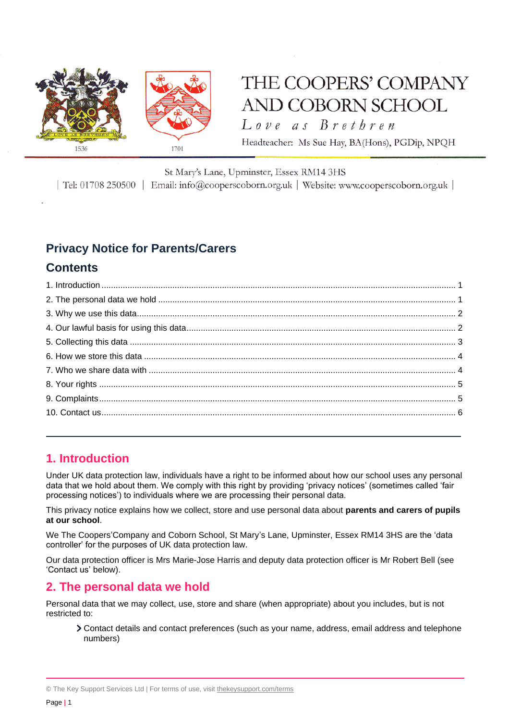

# THE COOPERS' COMPANY AND COBORN SCHOOL

Love as Brethren

Headteacher: Ms Sue Hay, BA(Hons), PGDip, NPQH

#### St Mary's Lane, Upminster, Essex RM14 3HS

| Tel: 01708 250500 | Email: info@cooperscoborn.org.uk | Website: www.cooperscoborn.org.uk |

## **Privacy Notice for Parents/Carers**

## **Contents**

## <span id="page-0-0"></span>**1. Introduction**

Under UK data protection law, individuals have a right to be informed about how our school uses any personal data that we hold about them. We comply with this right by providing 'privacy notices' (sometimes called 'fair processing notices') to individuals where we are processing their personal data.

This privacy notice explains how we collect, store and use personal data about **parents and carers of pupils at our school**.

We The Coopers'Company and Coborn School, St Mary's Lane, Upminster, Essex RM14 3HS are the 'data controller' for the purposes of UK data protection law.

Our data protection officer is Mrs Marie-Jose Harris and deputy data protection officer is Mr Robert Bell (see 'Contact us' below).

## <span id="page-0-1"></span>**2. The personal data we hold**

Personal data that we may collect, use, store and share (when appropriate) about you includes, but is not restricted to:

Contact details and contact preferences (such as your name, address, email address and telephone numbers)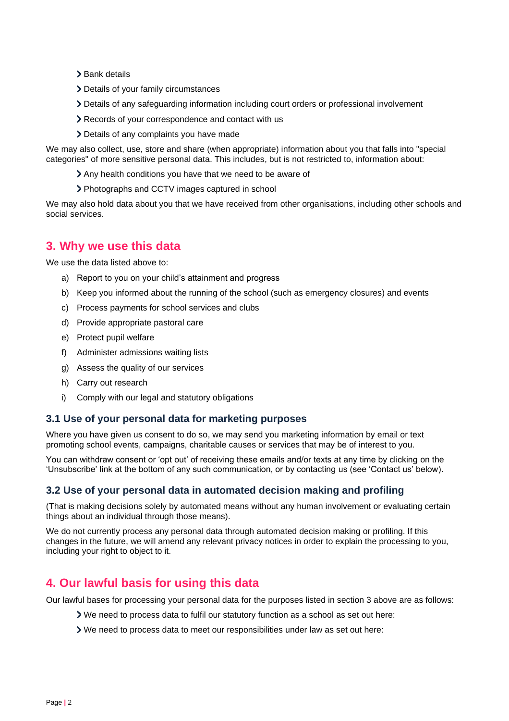- > Bank details
- Details of your family circumstances
- Details of any safeguarding information including court orders or professional involvement
- Records of your correspondence and contact with us
- Details of any complaints you have made

We may also collect, use, store and share (when appropriate) information about you that falls into "special categories" of more sensitive personal data. This includes, but is not restricted to, information about:

- Any health conditions you have that we need to be aware of
- Photographs and CCTV images captured in school

We may also hold data about you that we have received from other organisations, including other schools and social services.

## <span id="page-1-0"></span>**3. Why we use this data**

We use the data listed above to:

- a) Report to you on your child's attainment and progress
- b) Keep you informed about the running of the school (such as emergency closures) and events
- c) Process payments for school services and clubs
- d) Provide appropriate pastoral care
- e) Protect pupil welfare
- f) Administer admissions waiting lists
- g) Assess the quality of our services
- h) Carry out research
- i) Comply with our legal and statutory obligations

#### **3.1 Use of your personal data for marketing purposes**

Where you have given us consent to do so, we may send you marketing information by email or text promoting school events, campaigns, charitable causes or services that may be of interest to you.

You can withdraw consent or 'opt out' of receiving these emails and/or texts at any time by clicking on the 'Unsubscribe' link at the bottom of any such communication, or by contacting us (see 'Contact us' below).

#### **3.2 Use of your personal data in automated decision making and profiling**

(That is making decisions solely by automated means without any human involvement or evaluating certain things about an individual through those means).

We do not currently process any personal data through automated decision making or profiling. If this changes in the future, we will amend any relevant privacy notices in order to explain the processing to you, including your right to object to it.

### <span id="page-1-1"></span>**4. Our lawful basis for using this data**

Our lawful bases for processing your personal data for the purposes listed in section 3 above are as follows:

- We need to process data to fulfil our statutory function as a school as set out here:
- We need to process data to meet our responsibilities under law as set out here: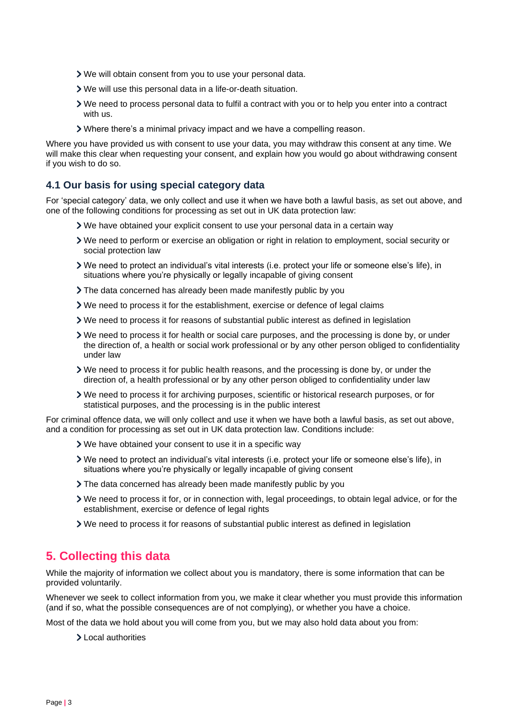- We will obtain consent from you to use your personal data.
- We will use this personal data in a life-or-death situation.
- We need to process personal data to fulfil a contract with you or to help you enter into a contract with us.
- Where there's a minimal privacy impact and we have a compelling reason.

Where you have provided us with consent to use your data, you may withdraw this consent at any time. We will make this clear when requesting your consent, and explain how you would go about withdrawing consent if you wish to do so.

#### **4.1 Our basis for using special category data**

For 'special category' data, we only collect and use it when we have both a lawful basis, as set out above, and one of the following conditions for processing as set out in UK data protection law:

- We have obtained your explicit consent to use your personal data in a certain way
- We need to perform or exercise an obligation or right in relation to employment, social security or social protection law
- We need to protect an individual's vital interests (i.e. protect your life or someone else's life), in situations where you're physically or legally incapable of giving consent
- The data concerned has already been made manifestly public by you
- We need to process it for the establishment, exercise or defence of legal claims
- We need to process it for reasons of substantial public interest as defined in legislation
- We need to process it for health or social care purposes, and the processing is done by, or under the direction of, a health or social work professional or by any other person obliged to confidentiality under law
- We need to process it for public health reasons, and the processing is done by, or under the direction of, a health professional or by any other person obliged to confidentiality under law
- We need to process it for archiving purposes, scientific or historical research purposes, or for statistical purposes, and the processing is in the public interest

For criminal offence data, we will only collect and use it when we have both a lawful basis, as set out above, and a condition for processing as set out in UK data protection law. Conditions include:

- We have obtained your consent to use it in a specific way
- We need to protect an individual's vital interests (i.e. protect your life or someone else's life), in situations where you're physically or legally incapable of giving consent
- The data concerned has already been made manifestly public by you
- We need to process it for, or in connection with, legal proceedings, to obtain legal advice, or for the establishment, exercise or defence of legal rights
- We need to process it for reasons of substantial public interest as defined in legislation

## <span id="page-2-0"></span>**5. Collecting this data**

While the majority of information we collect about you is mandatory, there is some information that can be provided voluntarily.

Whenever we seek to collect information from you, we make it clear whether you must provide this information (and if so, what the possible consequences are of not complying), or whether you have a choice.

Most of the data we hold about you will come from you, but we may also hold data about you from:

Local authorities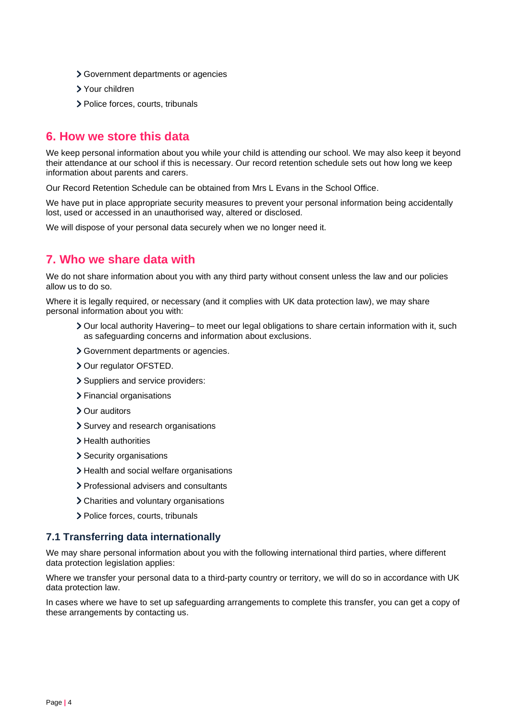- Government departments or agencies
- Your children
- > Police forces, courts, tribunals

## <span id="page-3-0"></span>**6. How we store this data**

We keep personal information about you while your child is attending our school. We may also keep it beyond their attendance at our school if this is necessary. Our record retention schedule sets out how long we keep information about parents and carers.

Our Record Retention Schedule can be obtained from Mrs L Evans in the School Office.

We have put in place appropriate security measures to prevent your personal information being accidentally lost, used or accessed in an unauthorised way, altered or disclosed.

We will dispose of your personal data securely when we no longer need it.

## <span id="page-3-1"></span>**7. Who we share data with**

We do not share information about you with any third party without consent unless the law and our policies allow us to do so.

Where it is legally required, or necessary (and it complies with UK data protection law), we may share personal information about you with:

- **>** Our local authority Havering– to meet our legal obligations to share certain information with it, such as safeguarding concerns and information about exclusions.
- Government departments or agencies.
- > Our regulator OFSTED.
- > Suppliers and service providers:
- Financial organisations
- Our auditors
- > Survey and research organisations
- > Health authorities
- > Security organisations
- > Health and social welfare organisations
- Professional advisers and consultants
- Charities and voluntary organisations
- > Police forces, courts, tribunals

#### **7.1 Transferring data internationally**

We may share personal information about you with the following international third parties, where different data protection legislation applies:

Where we transfer your personal data to a third-party country or territory, we will do so in accordance with UK data protection law.

In cases where we have to set up safeguarding arrangements to complete this transfer, you can get a copy of these arrangements by contacting us.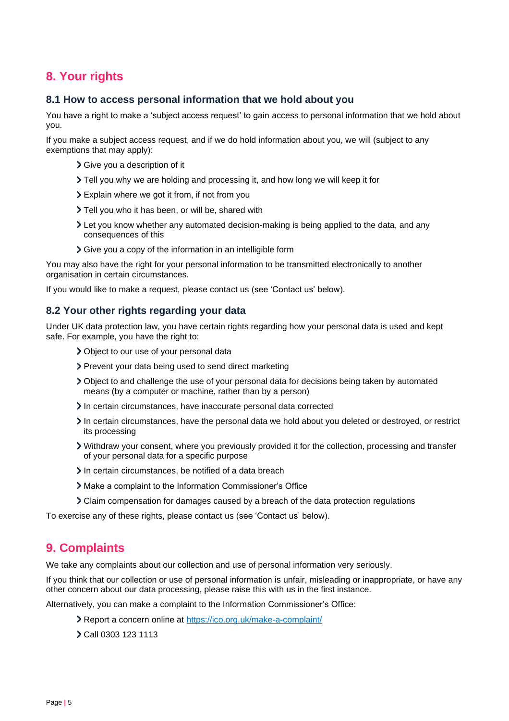## <span id="page-4-0"></span>**8. Your rights**

#### **8.1 How to access personal information that we hold about you**

You have a right to make a 'subject access request' to gain access to personal information that we hold about you.

If you make a subject access request, and if we do hold information about you, we will (subject to any exemptions that may apply):

- Give you a description of it
- Tell you why we are holding and processing it, and how long we will keep it for
- Explain where we got it from, if not from you
- > Tell you who it has been, or will be, shared with
- Let you know whether any automated decision-making is being applied to the data, and any consequences of this
- Give you a copy of the information in an intelligible form

You may also have the right for your personal information to be transmitted electronically to another organisation in certain circumstances.

If you would like to make a request, please contact us (see 'Contact us' below).

#### **8.2 Your other rights regarding your data**

Under UK data protection law, you have certain rights regarding how your personal data is used and kept safe. For example, you have the right to:

- Object to our use of your personal data
- Prevent your data being used to send direct marketing
- Object to and challenge the use of your personal data for decisions being taken by automated means (by a computer or machine, rather than by a person)
- In certain circumstances, have inaccurate personal data corrected
- In certain circumstances, have the personal data we hold about you deleted or destroyed, or restrict its processing
- Withdraw your consent, where you previously provided it for the collection, processing and transfer of your personal data for a specific purpose
- In certain circumstances, be notified of a data breach
- Make a complaint to the Information Commissioner's Office
- Claim compensation for damages caused by a breach of the data protection regulations

To exercise any of these rights, please contact us (see 'Contact us' below).

## <span id="page-4-1"></span>**9. Complaints**

We take any complaints about our collection and use of personal information very seriously.

If you think that our collection or use of personal information is unfair, misleading or inappropriate, or have any other concern about our data processing, please raise this with us in the first instance.

Alternatively, you can make a complaint to the Information Commissioner's Office:

- Report a concern online at<https://ico.org.uk/make-a-complaint/>
- Call 0303 123 1113